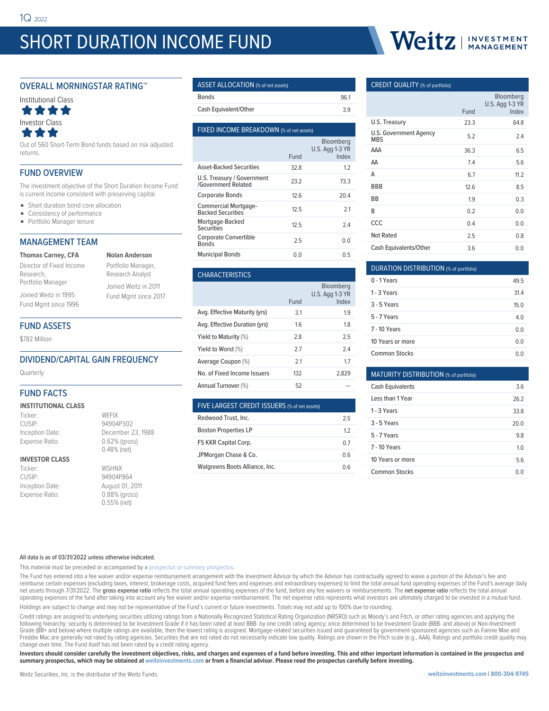# SHORT DURATION INCOME FUND



### OVERALL MORNINGSTAR RATING™



Out of 560 Short-Term Bond funds based on risk adjusted returns.

### FUND OVERVIEW

The investment objective of the Short Duration Income Fund is current income consistent with preserving capital.

- Short duration bond core allocation
- Consistency of performance
- Portfolio Manager tenure

## MANAGEMENT TEAM

| <b>Thomas Carney, CFA</b> | <b>Nolan Anderson</b> |
|---------------------------|-----------------------|
| Director of Fixed Income  | Portfolio Manage      |
| Research,                 | Research Analyst      |
| Portfolio Manager         | Joined Weitz in 2     |
| Joined Weitz in 1995      | Fund Mgmt since       |
| Fund Mgmt since 1996      |                       |

Portfolio Manager, esearch Analyst oined Weitz in 2011 und Mgmt since 2017

### FUND ASSETS

\$782 Million

### DIVIDEND/CAPITAL GAIN FREQUENCY

**Quarterly** 

# FUND FACTS

### **INSTITUTIONAL CLASS**

Ticker: WEFIX CUSIP: 94904P302

### Inception Date: December 23, 1988 Expense Ratio: 0.62% (gross) 0.48% (net) **INVESTOR CLASS**

Ticker: WSHNX CUSIP: 94904P864

# Inception Date: August 01, 2011 Expense Ratio: 0.88% (gross) 0.55% (net)

| ASSET ALLOCATION (% of net assets) |     |
|------------------------------------|-----|
| Bonds                              | 961 |

| Cash Equivalent/Other |  |
|-----------------------|--|

| FIXED INCOME BREAKDOWN (% of net assets)                 |      |                                       |  |  |  |
|----------------------------------------------------------|------|---------------------------------------|--|--|--|
|                                                          | Fund | Bloomberg<br>U.S. Agg 1-3 YR<br>Index |  |  |  |
| <b>Asset-Backed Securities</b>                           | 328  | 1.2                                   |  |  |  |
| U.S. Treasury / Government<br><b>/Government Related</b> | 23.2 | 73.3                                  |  |  |  |
| <b>Corporate Bonds</b>                                   | 12.6 | 20.4                                  |  |  |  |
| <b>Commercial Mortgage-</b><br><b>Backed Securities</b>  | 125  | 21                                    |  |  |  |
| Mortgage-Backed<br>Securities                            | 125  | 24                                    |  |  |  |
| <b>Corporate Convertible</b><br><b>Bonds</b>             | 25   | 0.0                                   |  |  |  |
| <b>Municipal Bonds</b>                                   | 0 O  | 0.5                                   |  |  |  |
|                                                          |      |                                       |  |  |  |

| <u>UIMNAUTENDITUJ</u>         |      |                                       |
|-------------------------------|------|---------------------------------------|
|                               | Fund | Bloomberg<br>U.S. Agg 1-3 YR<br>Index |
| Avg. Effective Maturity (yrs) | 3.1  | 1.9                                   |
| Avg. Effective Duration (yrs) | 1.6  | 1.8                                   |
| Yield to Maturity (%)         | 28   | 25                                    |
| Yield to Worst (%)            | 27   | 24                                    |
| Average Coupon (%)            | 2.1  | 1.7                                   |
| No. of Fixed Income Issuers   | 132  | 2.829                                 |
| Annual Turnover (%)           | 52   |                                       |

## FIVE LARGEST CREDIT ISSUERS (% of net assets)

CHARACTERISTICS

| Redwood Trust, Inc.            | 25  |
|--------------------------------|-----|
| <b>Boston Properties LP</b>    | 12  |
| FS KKR Capital Corp.           | 07  |
| JPMorgan Chase & Co.           | 06  |
| Walgreens Boots Alliance, Inc. | በ 6 |

### CREDIT QUALITY (% of portfolio)

|                                      |      | Bloomberg<br>U.S. Agg 1-3 YR |
|--------------------------------------|------|------------------------------|
|                                      | Fund | Index                        |
| U.S. Treasury                        | 23.3 | 64.8                         |
| U.S. Government Agency<br><b>MBS</b> | 5.2  | 2.4                          |
| AAA                                  | 36.3 | 6.5                          |
| AA                                   | 7.4  | 5.6                          |
| Α                                    | 6.7  | 11.2                         |
| <b>BBB</b>                           | 12.6 | 8.5                          |
| BB                                   | 1.9  | 0.3                          |
| B                                    | 0.2  | 0.0                          |
| CCC                                  | 0.4  | 0.0                          |
| <b>Not Rated</b>                     | 2.5  | 0.8                          |
| Cash Equivalents/Other               | 3.6  | 0.0                          |

| DURATION DISTRIBUTION (% of portfolio) |      |  |  |  |
|----------------------------------------|------|--|--|--|
| 0 - 1 Years                            | 49.5 |  |  |  |
| 1 - 3 Years                            | 31.4 |  |  |  |
| $3 - 5$ Years                          | 150  |  |  |  |
| 5 - 7 Years                            | 4 O  |  |  |  |
| <b>7 - 10 Years</b>                    | 0 Q  |  |  |  |
| 10 Years or more                       | 0 Q  |  |  |  |
| <b>Common Stocks</b>                   | (1)  |  |  |  |

| MATURITY DISTRIBUTION (% of portfolio) |                |
|----------------------------------------|----------------|
| <b>Cash Equivalents</b>                | 36             |
| Less than 1 Year                       | 262            |
| 1 - 3 Years                            | 33.8           |
| $3 - 5$ Years                          | 20.0           |
| 5 - 7 Years                            | 9.8            |
| 7 - 10 Years                           | 1 <sub>0</sub> |
| 10 Years or more                       | 56             |
| Common Stocks                          | 0 O            |

### All data is as of 03/31/2022 unless otherwise indicated.

This material must be preceded or accompanied by a [prospectus or summary prospectus](https://weitzinvestments.com/resources/product-literature/default.fs).

The Fund has entered into a fee waiver and/or expense reimbursement arrangement with the Investment Advisor by which the Advisor has contractually agreed to waive a portion of the Advisor's fee and reimburse certain expenses (excluding taxes, interest, brokerage costs, acquired fund fees and expenses and extraordinary expenses) to limit the total annual fund operating expenses of the Fund's average daily net assets through 7/31/2022. The gross expense ratio reflects the total annual operating expenses of the fund, before any fee waivers or reimbursements. The net expense ratio reflects the total annual operating expenses of the fund after taking into account any fee waiver and/or expense reimbursement. The net expense ratio represents what investors are ultimately charged to be invested in a mutual fund.

Holdings are subject to change and may not be representative of the Fund's current or future investments. Totals may not add up to 100% due to rounding.

Credit ratings are assigned to underlying securities utilizing ratings from a Nationally Recognized Statistical Rating Organization (NRSRO) such as Moody's and Fitch, or other rating agencies and applying the following hierarchy: security is determined to be Investment Grade if it has been rated at least BBB- by one credit rating agency; once determined to be Investment Grade (BBB- and above) or Non-Investment Grade (BB+ and below) where multiple ratings are available, then the lowest rating is assigned. Mortgage-related securities issued and guaranteed by government-sponsored agencies such as Fannie Mae and<br>Freddie Mac are gene change over time. The Fund itself has not been rated by a credit rating agency.

**Investors should consider carefully the investment objectives, risks, and charges and expenses of a fund before investing. This and other important information is contained in the prospectus and summary prospectus, which may be obtained at weitzinvestments.com or from a financial advisor. Please read the prospectus carefully before investing.**